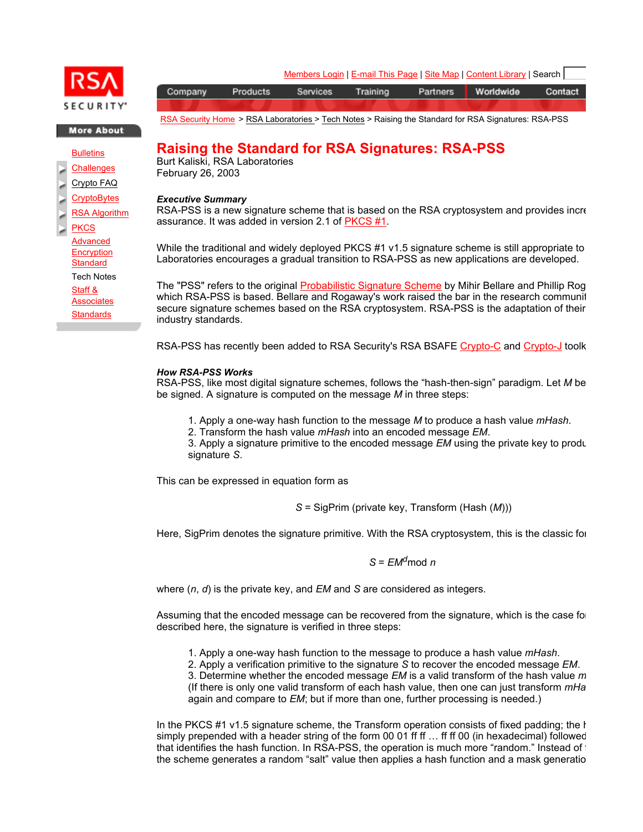

**More About** 

**Bulletins** 

**Challenges** 

Crypto FAQ

**CryptoBytes** 

RSA Algorithm

**PKCS** Advanced **Encryption Standard** Tech Notes Staff & **Associates Standards** 

Members Login | E-mail This Page | Site Map | Content Library | Search | Company Products Services Training Partners Worldwide Contact

RSA Security Home > RSA Laboratories > Tech Notes > Raising the Standard for RSA Signatures: RSA-PSS

# **Raising the Standard for RSA Signatures: RSA-PSS**

Burt Kaliski, RSA Laboratories February 26, 2003

## *Executive Summary*

RSA-PSS is a new signature scheme that is based on the RSA cryptosystem and provides incre assurance. It was added in version 2.1 of PKCS #1.

While the traditional and widely deployed PKCS #1 v1.5 signature scheme is still appropriate to Laboratories encourages a gradual transition to RSA-PSS as new applications are developed.

The "PSS" refers to the original Probabilistic Signature Scheme by Mihir Bellare and Phillip Rog which RSA-PSS is based. Bellare and Rogaway's work raised the bar in the research communit secure signature schemes based on the RSA cryptosystem. RSA-PSS is the adaptation of their industry standards.

RSA-PSS has recently been added to RSA Security's RSA BSAFE Crypto-C and Crypto-J toolk

# *How RSA-PSS Works*

RSA-PSS, like most digital signature schemes, follows the "hash-then-sign" paradigm. Let *M* be be signed. A signature is computed on the message *M* in three steps:

1. Apply a one-way hash function to the message *M* to produce a hash value *mHash*.

2. Transform the hash value *mHash* into an encoded message *EM*.

3. Apply a signature primitive to the encoded message *EM* using the private key to produ signature *S*.

This can be expressed in equation form as

*S* = SigPrim (private key, Transform (Hash (*M*)))

Here, SigPrim denotes the signature primitive. With the RSA cryptosystem, this is the classic for

# *S* = *EMd*mod *n*

where (*n*, *d*) is the private key, and *EM* and *S* are considered as integers.

Assuming that the encoded message can be recovered from the signature, which is the case for described here, the signature is verified in three steps:

1. Apply a one-way hash function to the message to produce a hash value *mHash*.

2. Apply a verification primitive to the signature *S* to recover the encoded message *EM*.

3. Determine whether the encoded message *EM* is a valid transform of the hash value *m* (If there is only one valid transform of each hash value, then one can just transform *mHa* again and compare to *EM*; but if more than one, further processing is needed.)

In the PKCS #1  $v1.5$  signature scheme, the Transform operation consists of fixed padding; the h simply prepended with a header string of the form 00 01 ff ff ... ff ff 00 (in hexadecimal) followed that identifies the hash function. In RSA-PSS, the operation is much more "random." Instead of the the scheme generates a random "salt" value then applies a hash function and a mask generatio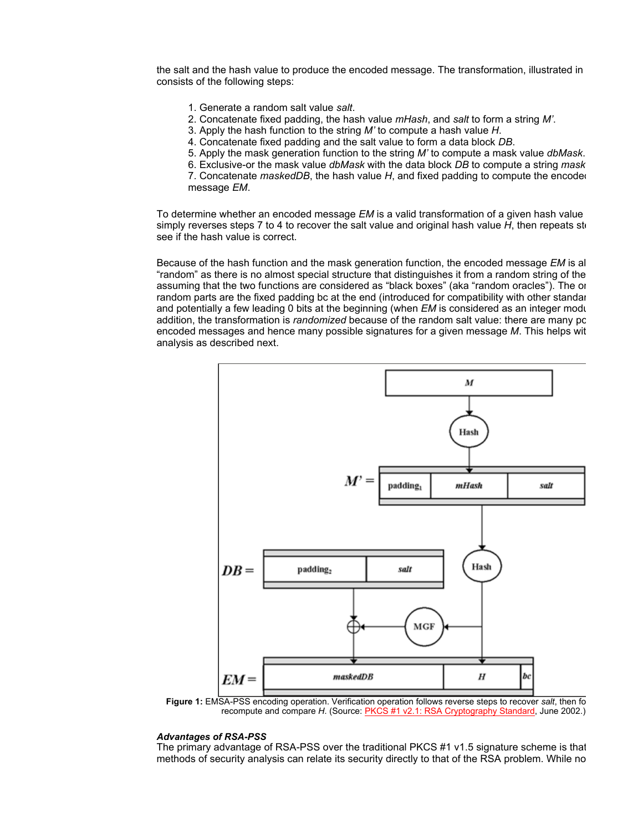the salt and the hash value to produce the encoded message. The transformation, illustrated in consists of the following steps:

- 1. Generate a random salt value *salt*.
- 2. Concatenate fixed padding, the hash value *mHash*, and *salt* to form a string *M'*.
- 3. Apply the hash function to the string *M'* to compute a hash value *H*.
- 4. Concatenate fixed padding and the salt value to form a data block *DB*.
- 5. Apply the mask generation function to the string *M'* to compute a mask value *dbMask*.

6. Exclusive-or the mask value *dbMask* with the data block *DB* to compute a string *mask* 7. Concatenate *maskedDB*, the hash value *H*, and fixed padding to compute the encoded message *EM*.

To determine whether an encoded message *EM* is a valid transformation of a given hash value simply reverses steps 7 to 4 to recover the salt value and original hash value *H*, then repeats ste see if the hash value is correct.

Because of the hash function and the mask generation function, the encoded message *EM* is al "random" as there is no almost special structure that distinguishes it from a random string of the assuming that the two functions are considered as "black boxes" (aka "random oracles"). The on random parts are the fixed padding bc at the end (introduced for compatibility with other standar and potentially a few leading 0 bits at the beginning (when *EM* is considered as an integer modu addition, the transformation is *randomized* because of the random salt value: there are many po encoded messages and hence many possible signatures for a given message *M*. This helps wit analysis as described next.



**Figure 1:** EMSA-PSS encoding operation. Verification operation follows reverse steps to recover *salt*, then fo recompute and compare *H*. (Source: **PKCS #1 v2.1: RSA Cryptography Standard**, June 2002.)

### *Advantages of RSA-PSS*

The primary advantage of RSA-PSS over the traditional PKCS #1 v1.5 signature scheme is that methods of security analysis can relate its security directly to that of the RSA problem. While no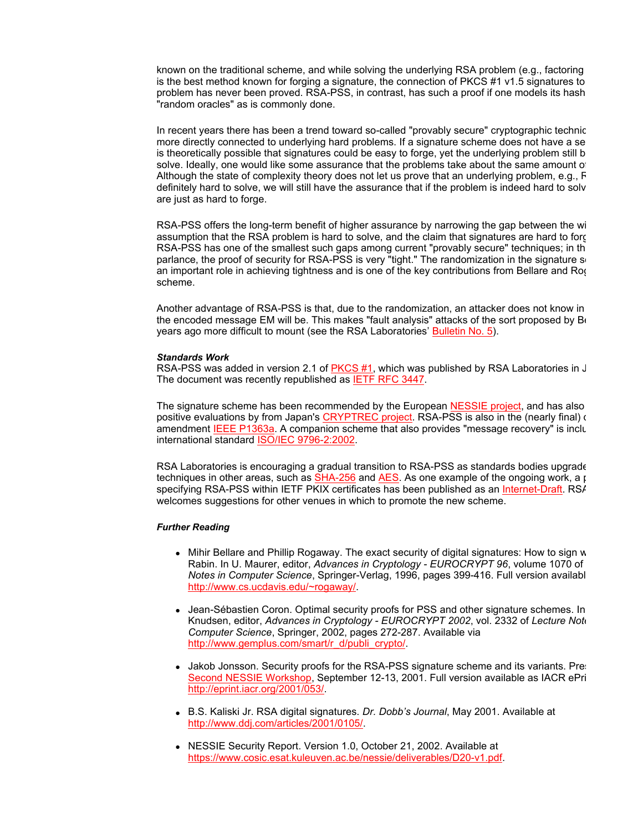known on the traditional scheme, and while solving the underlying RSA problem (e.g., factoring is the best method known for forging a signature, the connection of PKCS #1 v1.5 signatures to problem has never been proved. RSA-PSS, in contrast, has such a proof if one models its hash "random oracles" as is commonly done.

In recent years there has been a trend toward so-called "provably secure" cryptographic technic more directly connected to underlying hard problems. If a signature scheme does not have a se is theoretically possible that signatures could be easy to forge, yet the underlying problem still b solve. Ideally, one would like some assurance that the problems take about the same amount of Although the state of complexity theory does not let us prove that an underlying problem, e.g., R definitely hard to solve, we will still have the assurance that if the problem is indeed hard to solv are just as hard to forge.

RSA-PSS offers the long-term benefit of higher assurance by narrowing the gap between the wi assumption that the RSA problem is hard to solve, and the claim that signatures are hard to forg RSA-PSS has one of the smallest such gaps among current "provably secure" techniques; in th parlance, the proof of security for RSA-PSS is very "tight." The randomization in the signature so an important role in achieving tightness and is one of the key contributions from Bellare and Rog scheme.

Another advantage of RSA-PSS is that, due to the randomization, an attacker does not know in the encoded message EM will be. This makes "fault analysis" attacks of the sort proposed by  $B\epsilon$ years ago more difficult to mount (see the RSA Laboratories' Bulletin No. 5).

### *Standards Work*

RSA-PSS was added in version 2.1 of PKCS #1, which was published by RSA Laboratories in J The document was recently republished as IETF RFC 3447.

The signature scheme has been recommended by the European NESSIE project, and has also positive evaluations by from Japan's CRYPTREC project. RSA-PSS is also in the (nearly final) d amendment IEEE P1363a. A companion scheme that also provides "message recovery" is inclu international standard ISO/IEC 9796-2:2002.

RSA Laboratories is encouraging a gradual transition to RSA-PSS as standards bodies upgrade techniques in other areas, such as  $SHA-256$  and  $AES$ . As one example of the ongoing work, a p specifying RSA-PSS within IETF PKIX certificates has been published as an Internet-Draft. RS/ welcomes suggestions for other venues in which to promote the new scheme.

### *Further Reading*

- Mihir Bellare and Phillip Rogaway. The exact security of digital signatures: How to sign w Rabin. In U. Maurer, editor, *Advances in Cryptology - EUROCRYPT 96*, volume 1070 of *Notes in Computer Science*, Springer-Verlag, 1996, pages 399-416. Full version availabl http://www.cs.ucdavis.edu/~rogaway/.
- Jean-Sébastien Coron. Optimal security proofs for PSS and other signature schemes. In Knudsen, editor, *Advances in Cryptology - EUROCRYPT 2002*, vol. 2332 of *Lecture Note Computer Science*, Springer, 2002, pages 272-287. Available via http://www.gemplus.com/smart/r\_d/publi\_crypto/.
- Jakob Jonsson. Security proofs for the RSA-PSS signature scheme and its variants. Pre Second NESSIE Workshop, September 12-13, 2001. Full version available as IACR ePri http://eprint.iacr.org/2001/053/.
- **B.S. Kaliski Jr. RSA digital signatures.** *Dr. Dobb's Journal***, May 2001. Available at Alian Press, and Alian and A** http://www.ddj.com/articles/2001/0105/.
- NESSIE Security Report. Version 1.0, October 21, 2002. Available at https://www.cosic.esat.kuleuven.ac.be/nessie/deliverables/D20-v1.pdf.